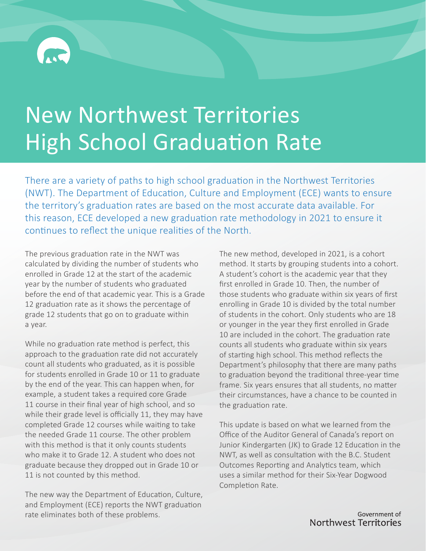# New Northwest Territories High School Graduation Rate

There are a variety of paths to high school graduation in the Northwest Territories (NWT). The Department of Education, Culture and Employment (ECE) wants to ensure the territory's graduation rates are based on the most accurate data available. For this reason, ECE developed a new graduation rate methodology in 2021 to ensure it continues to reflect the unique realities of the North.

The previous graduation rate in the NWT was calculated by dividing the number of students who enrolled in Grade 12 at the start of the academic year by the number of students who graduated before the end of that academic year. This is a Grade 12 graduation rate as it shows the percentage of grade 12 students that go on to graduate within a year.

While no graduation rate method is perfect, this approach to the graduation rate did not accurately count all students who graduated, as it is possible for students enrolled in Grade 10 or 11 to graduate by the end of the year. This can happen when, for example, a student takes a required core Grade 11 course in their final year of high school, and so while their grade level is officially 11, they may have completed Grade 12 courses while waiting to take the needed Grade 11 course. The other problem with this method is that it only counts students who make it to Grade 12. A student who does not graduate because they dropped out in Grade 10 or 11 is not counted by this method.

The new way the Department of Education, Culture, and Employment (ECE) reports the NWT graduation rate eliminates both of these problems.

The new method, developed in 2021, is a cohort method. It starts by grouping students into a cohort. A student's cohort is the academic year that they first enrolled in Grade 10. Then, the number of those students who graduate within six years of first enrolling in Grade 10 is divided by the total number of students in the cohort. Only students who are 18 or younger in the year they first enrolled in Grade 10 are included in the cohort. The graduation rate counts all students who graduate within six years of starting high school. This method reflects the Department's philosophy that there are many paths to graduation beyond the traditional three-year time frame. Six years ensures that all students, no matter their circumstances, have a chance to be counted in the graduation rate.

This update is based on what we learned from the Office of the Auditor General of Canada's report on Junior Kindergarten (JK) to Grade 12 Education in the NWT, as well as consultation with the B.C. Student Outcomes Reporting and Analytics team, which uses a similar method for their Six-Year Dogwood Completion Rate.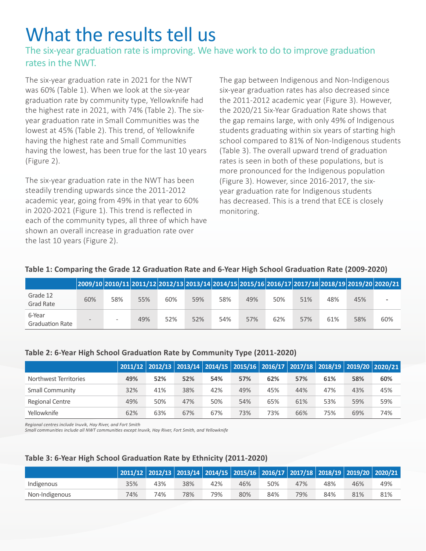## What the results tell us

### The six-year graduation rate is improving. We have work to do to improve graduation rates in the NWT.

The six-year graduation rate in 2021 for the NWT was 60% (Table 1). When we look at the six-year graduation rate by community type, Yellowknife had the highest rate in 2021, with 74% (Table 2). The sixyear graduation rate in Small Communities was the lowest at 45% (Table 2). This trend, of Yellowknife having the highest rate and Small Communities having the lowest, has been true for the last 10 years (Figure 2).

The six-year graduation rate in the NWT has been steadily trending upwards since the 2011-2012 academic year, going from 49% in that year to 60% in 2020-2021 (Figure 1). This trend is reflected in each of the community types, all three of which have shown an overall increase in graduation rate over the last 10 years (Figure 2).

The gap between Indigenous and Non-Indigenous six-year graduation rates has also decreased since the 2011-2012 academic year (Figure 3). However, the 2020/21 Six-Year Graduation Rate shows that the gap remains large, with only 49% of Indigenous students graduating within six years of starting high school compared to 81% of Non-Indigenous students (Table 3). The overall upward trend of graduation rates is seen in both of these populations, but is more pronounced for the Indigenous population (Figure 3). However, since 2016-2017, the sixyear graduation rate for Indigenous students has decreased. This is a trend that ECE is closely monitoring.

|                                  |     |     |     |     | 2009/10 2010/11 2011/12 2012/13 2013/14 2014/15 2015/16 2016/17 2017/18 2018/19 2019/20 2020/21 |     |     |     |     |     |     |     |
|----------------------------------|-----|-----|-----|-----|-------------------------------------------------------------------------------------------------|-----|-----|-----|-----|-----|-----|-----|
| Grade 12<br>Grad Rate            | 60% | 58% | 55% | 60% | 59%                                                                                             | 58% | 49% | 50% | 51% | 48% | 45% |     |
| 6-Year<br><b>Graduation Rate</b> |     | -   | 49% | 52% | 52%                                                                                             | 54% | 57% | 62% | 57% | 61% | 58% | 60% |

#### **Table 1: Comparing the Grade 12 Graduation Rate and 6-Year High School Graduation Rate (2009-2020)**

#### **Table 2: 6-Year High School Graduation Rate by Community Type (2011-2020)**

|                       |     |     |     |     |     |     |     |     |     | 2011/12 2012/13 2013/14 2014/15 2015/16 2016/17 2017/18 2018/19 2019/20 2020/21 |
|-----------------------|-----|-----|-----|-----|-----|-----|-----|-----|-----|---------------------------------------------------------------------------------|
| Northwest Territories | 49% | 52% | 52% | 54% | 57% | 62% | 57% | 61% | 58% | 60%                                                                             |
| Small Community       | 32% | 41% | 38% | 42% | 49% | 45% | 44% | 47% | 43% | 45%                                                                             |
| Regional Centre       | 49% | 50% | 47% | 50% | 54% | 65% | 61% | 53% | 59% | 59%                                                                             |
| Yellowknife           | 62% | 63% | 67% | 67% | 73% | 73% | 66% | 75% | 69% | 74%                                                                             |

*Regional centres include Inuvik, Hay River, and Fort Smith*

*Small communities include all NWT communities except Inuvik, Hay River, Fort Smith, and Yellowknife*

#### **Table 3: 6-Year High School Graduation Rate by Ethnicity (2011-2020)**

|                |     |     |     |     |     |     |     |     |     | 2011/12   2012/13   2013/14   2014/15   2015/16   2016/17   2017/18   2018/19   2019/20   2020/21 |
|----------------|-----|-----|-----|-----|-----|-----|-----|-----|-----|---------------------------------------------------------------------------------------------------|
| Indigenous     | 35% | 43% | 38% | 42% | 46% | 50% | 47% | 48% | 46% | 49%                                                                                               |
| Non-Indigenous | 74% | 74% | 78% | 79% | 80% | 84% | 79% | 84% | 81% | 81%                                                                                               |